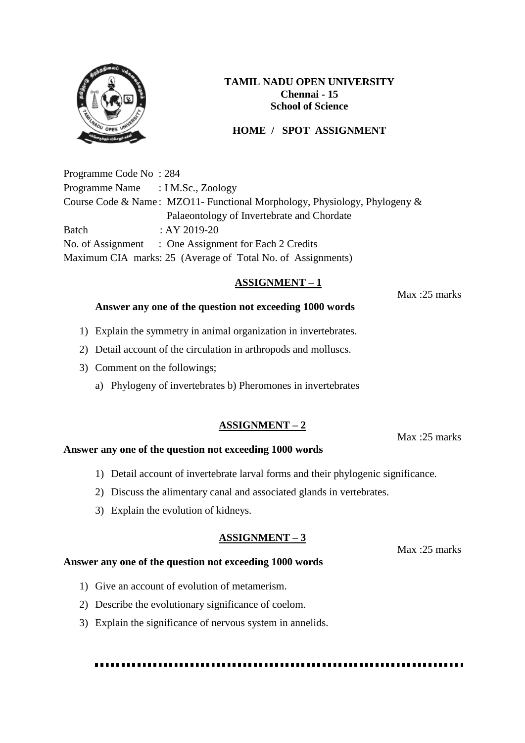

## **HOME / SPOT ASSIGNMENT**

Programme Code No : 284 Programme Name : I M.Sc., Zoology Course Code & Name : MZO11- Functional Morphology, Physiology, Phylogeny & Palaeontology of Invertebrate and Chordate Batch : AY 2019-20 No. of Assignment : One Assignment for Each 2 Credits Maximum CIA marks: 25 (Average of Total No. of Assignments)

## **ASSIGNMENT – 1**

Max :25 marks

### **Answer any one of the question not exceeding 1000 words**

- 1) Explain the symmetry in animal organization in invertebrates.
- 2) Detail account of the circulation in arthropods and molluscs.
- 3) Comment on the followings;
	- a) Phylogeny of invertebrates b) Pheromones in invertebrates

### **ASSIGNMENT – 2**

Max :25 marks

### **Answer any one of the question not exceeding 1000 words**

- 1) Detail account of invertebrate larval forms and their phylogenic significance.
- 2) Discuss the alimentary canal and associated glands in vertebrates.
- 3) Explain the evolution of kidneys.

#### **ASSIGNMENT – 3**

Max :25 marks

### **Answer any one of the question not exceeding 1000 words**

- 1) Give an account of evolution of metamerism.
- 2) Describe the evolutionary significance of coelom.
- 3) Explain the significance of nervous system in annelids.

####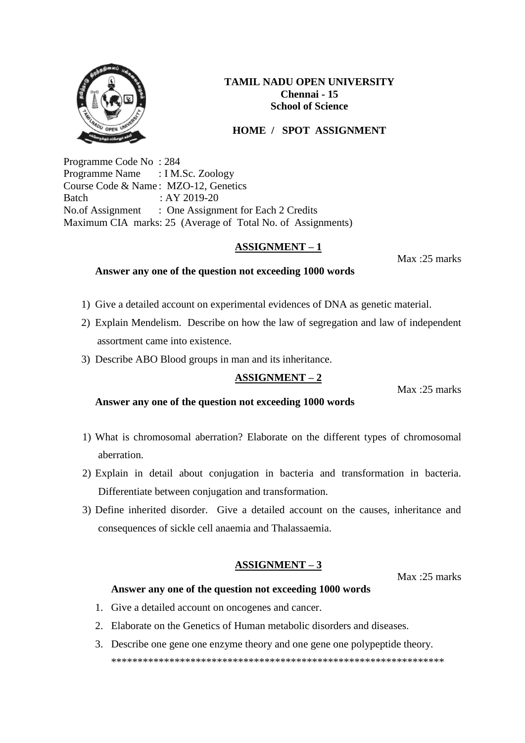

## **HOME / SPOT ASSIGNMENT**

Programme Code No : 284 Programme Name : I M.Sc. Zoology Course Code & Name : MZO-12, Genetics Batch : AY 2019-20 No.of Assignment : One Assignment for Each 2 Credits Maximum CIA marks: 25 (Average of Total No. of Assignments)

## **ASSIGNMENT – 1**

Max :25 marks

### **Answer any one of the question not exceeding 1000 words**

- 1) Give a detailed account on experimental evidences of DNA as genetic material.
- 2) Explain Mendelism. Describe on how the law of segregation and law of independent assortment came into existence.
- 3) Describe ABO Blood groups in man and its inheritance.

## **ASSIGNMENT – 2**

Max :25 marks

**Answer any one of the question not exceeding 1000 words** 

- 1) What is chromosomal aberration? Elaborate on the different types of chromosomal aberration.
- 2) Explain in detail about conjugation in bacteria and transformation in bacteria. Differentiate between conjugation and transformation.
- 3) Define inherited disorder. Give a detailed account on the causes, inheritance and consequences of sickle cell anaemia and Thalassaemia.

# **ASSIGNMENT – 3**

Max :25 marks

## **Answer any one of the question not exceeding 1000 words**

- 1. Give a detailed account on oncogenes and cancer.
- 2. Elaborate on the Genetics of Human metabolic disorders and diseases.
- 3. Describe one gene one enzyme theory and one gene one polypeptide theory. \*\*\*\*\*\*\*\*\*\*\*\*\*\*\*\*\*\*\*\*\*\*\*\*\*\*\*\*\*\*\*\*\*\*\*\*\*\*\*\*\*\*\*\*\*\*\*\*\*\*\*\*\*\*\*\*\*\*\*\*\*\*\*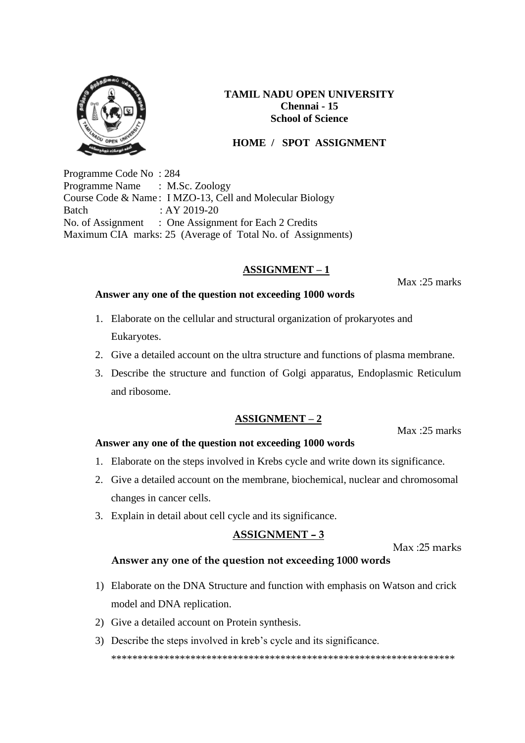

## **HOME / SPOT ASSIGNMENT**

Programme Code No : 284 Programme Name : M.Sc. Zoology Course Code & Name : I MZO-13, Cell and Molecular Biology Batch : AY 2019-20 No. of Assignment : One Assignment for Each 2 Credits Maximum CIA marks: 25 (Average of Total No. of Assignments)

## **ASSIGNMENT – 1**

Max :25 marks

### **Answer any one of the question not exceeding 1000 words**

- 1. Elaborate on the cellular and structural organization of prokaryotes and Eukaryotes.
- 2. Give a detailed account on the ultra structure and functions of plasma membrane.
- 3. Describe the structure and function of Golgi apparatus, Endoplasmic Reticulum and ribosome.

### **ASSIGNMENT – 2**

Max :25 marks

### **Answer any one of the question not exceeding 1000 words**

- 1. Elaborate on the steps involved in Krebs cycle and write down its significance.
- 2. Give a detailed account on the membrane, biochemical, nuclear and chromosomal changes in cancer cells.
- 3. Explain in detail about cell cycle and its significance.

#### **ASSIGNMENT – 3**

Max :25 marks

### **Answer any one of the question not exceeding 1000 words**

- 1) Elaborate on the DNA Structure and function with emphasis on Watson and crick model and DNA replication.
- 2) Give a detailed account on Protein synthesis.
- 3) Describe the steps involved in kreb's cycle and its significance. \*\*\*\*\*\*\*\*\*\*\*\*\*\*\*\*\*\*\*\*\*\*\*\*\*\*\*\*\*\*\*\*\*\*\*\*\*\*\*\*\*\*\*\*\*\*\*\*\*\*\*\*\*\*\*\*\*\*\*\*\*\*\*\*\*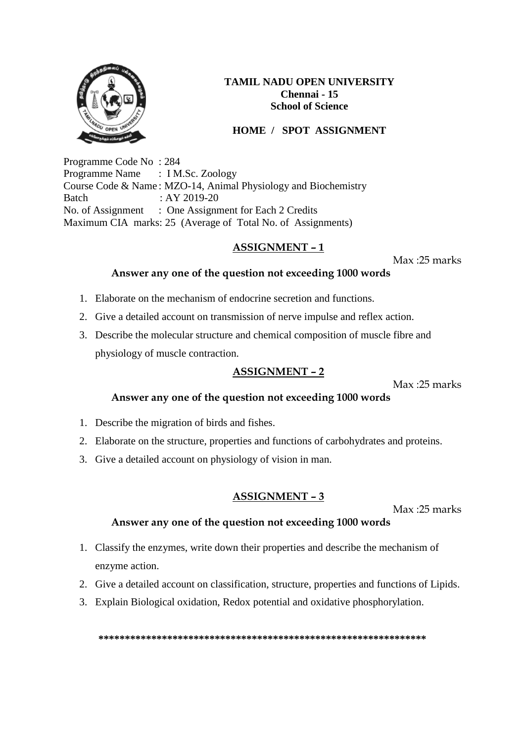

# **HOME / SPOT ASSIGNMENT**

Programme Code No : 284 Programme Name : I M.Sc. Zoology Course Code & Name : MZO-14, Animal Physiology and Biochemistry Batch : AY 2019-20 No. of Assignment : One Assignment for Each 2 Credits Maximum CIA marks: 25 (Average of Total No. of Assignments)

## **ASSIGNMENT – 1**

Max :25 marks

### **Answer any one of the question not exceeding 1000 words**

- 1. Elaborate on the mechanism of endocrine secretion and functions.
- 2. Give a detailed account on transmission of nerve impulse and reflex action.
- 3. Describe the molecular structure and chemical composition of muscle fibre and physiology of muscle contraction.

# **ASSIGNMENT – 2**

Max :25 marks

## **Answer any one of the question not exceeding 1000 words**

- 1. Describe the migration of birds and fishes.
- 2. Elaborate on the structure, properties and functions of carbohydrates and proteins.
- 3. Give a detailed account on physiology of vision in man.

## **ASSIGNMENT – 3**

Max :25 marks

## **Answer any one of the question not exceeding 1000 words**

- 1. Classify the enzymes, write down their properties and describe the mechanism of enzyme action.
- 2. Give a detailed account on classification, structure, properties and functions of Lipids.
- 3. Explain Biological oxidation, Redox potential and oxidative phosphorylation.

**\*\*\*\*\*\*\*\*\*\*\*\*\*\*\*\*\*\*\*\*\*\*\*\*\*\*\*\*\*\*\*\*\*\*\*\*\*\*\*\*\*\*\*\*\*\*\*\*\*\*\*\*\*\*\*\*\*\*\*\*\*\***